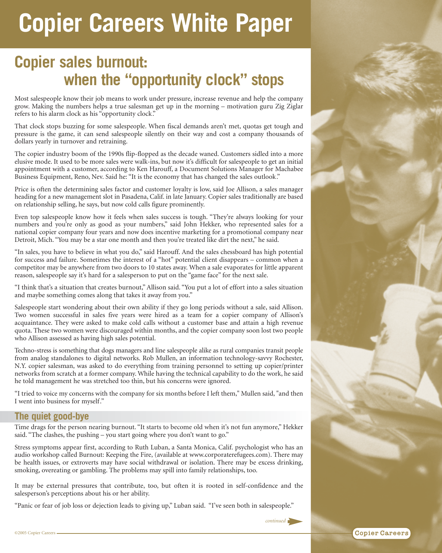# **Copier Careers White Paper**

# **Copier sales burnout: when the "opportunity clock" stops**

Most salespeople know their job means to work under pressure, increase revenue and help the company grow. Making the numbers helps a true salesman get up in the morning – motivation guru Zig Ziglar refers to his alarm clock as his "opportunity clock."

That clock stops buzzing for some salespeople. When fiscal demands aren't met, quotas get tough and pressure is the game, it can send salespeople silently on their way and cost a company thousands of dollars yearly in turnover and retraining.

The copier industry boom of the 1990s flip-flopped as the decade waned. Customers sidled into a more elusive mode. It used to be more sales were walk-ins, but now it's difficult for salespeople to get an initial appointment with a customer, according to Ken Harouff, a Document Solutions Manager for Machabee Business Equipment, Reno, Nev. Said he: "It is the economy that has changed the sales outlook."

Price is often the determining sales factor and customer loyalty is low, said Joe Allison, a sales manager heading for a new management slot in Pasadena, Calif. in late January. Copier sales traditionally are based on relationship selling, he says, but now cold calls figure prominently.

Even top salespeople know how it feels when sales success is tough. "They're always looking for your numbers and you're only as good as your numbers," said John Hekker, who represented sales for a national copier company four years and now does incentive marketing for a promotional company near Detroit, Mich. "You may be a star one month and then you're treated like dirt the next," he said.

"In sales, you have to believe in what you do," said Harouff. And the sales chessboard has high potential for success and failure. Sometimes the interest of a "hot" potential client disappears – common when a competitor may be anywhere from two doors to 10 states away. When a sale evaporates for little apparent reason, salespeople say it's hard for a salesperson to put on the "game face" for the next sale.

"I think that's a situation that creates burnout," Allison said. "You put a lot of effort into a sales situation and maybe something comes along that takes it away from you."

Salespeople start wondering about their own ability if they go long periods without a sale, said Allison. Two women successful in sales five years were hired as a team for a copier company of Allison's acquaintance. They were asked to make cold calls without a customer base and attain a high revenue quota. These two women were discouraged within months, and the copier company soon lost two people who Allison assessed as having high sales potential.

Techno-stress is something that dogs managers and line salespeople alike as rural companies transit people from analog standalones to digital networks. Rob Mullen, an information technology-savvy Rochester, N.Y. copier salesman, was asked to do everything from training personnel to setting up copier/printer networks from scratch at a former company. While having the technical capability to do the work, he said he told management he was stretched too thin, but his concerns were ignored.

"I tried to voice my concerns with the company for six months before I left them," Mullen said, "and then I went into business for myself."

## **The quiet good-bye**

Time drags for the person nearing burnout. "It starts to become old when it's not fun anymore," Hekker said. "The clashes, the pushing – you start going where you don't want to go."

Stress symptoms appear first, according to Ruth Luban, a Santa Monica, Calif. psychologist who has an audio workshop called Burnout: Keeping the Fire, (available at www.corporaterefugees.com). There may be health issues, or extroverts may have social withdrawal or isolation. There may be excess drinking, smoking, overeating or gambling. The problems may spill into family relationships, too.

It may be external pressures that contribute, too, but often it is rooted in self-confidence and the salesperson's perceptions about his or her ability.

"Panic or fear of job loss or dejection leads to giving up," Luban said. "I've seen both in salespeople."



**Copier Careers** 

*continued*